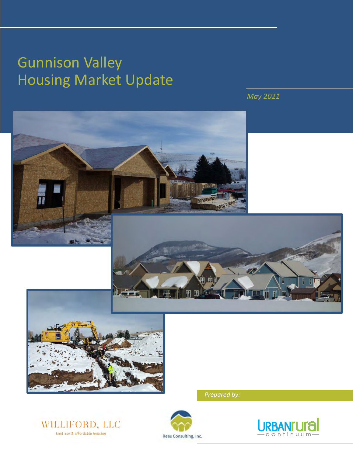# Gunnison Valley Housing Market Update

*May 2021*

**AF** 







*Prepared by:*

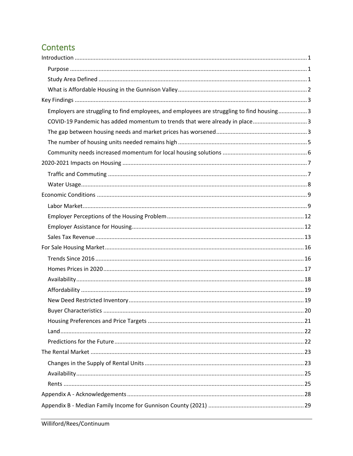# Contents

| Employers are struggling to find employees, and employees are struggling to find housing 3 |  |
|--------------------------------------------------------------------------------------------|--|
| COVID-19 Pandemic has added momentum to trends that were already in place3                 |  |
|                                                                                            |  |
|                                                                                            |  |
|                                                                                            |  |
|                                                                                            |  |
|                                                                                            |  |
|                                                                                            |  |
|                                                                                            |  |
|                                                                                            |  |
|                                                                                            |  |
|                                                                                            |  |
|                                                                                            |  |
|                                                                                            |  |
|                                                                                            |  |
|                                                                                            |  |
|                                                                                            |  |
|                                                                                            |  |
|                                                                                            |  |
|                                                                                            |  |
|                                                                                            |  |
|                                                                                            |  |
|                                                                                            |  |
|                                                                                            |  |
|                                                                                            |  |
|                                                                                            |  |
|                                                                                            |  |
|                                                                                            |  |
|                                                                                            |  |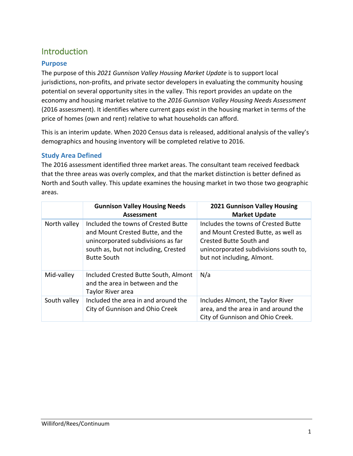# <span id="page-2-0"></span>**Introduction**

# <span id="page-2-1"></span>**Purpose**

The purpose of this *2021 Gunnison Valley Housing Market Update* is to support local jurisdictions, non-profits, and private sector developers in evaluating the community housing potential on several opportunity sites in the valley. This report provides an update on the economy and housing market relative to the *2016 Gunnison Valley Housing Needs Assessment* (2016 assessment). It identifies where current gaps exist in the housing market in terms of the price of homes (own and rent) relative to what households can afford.

This is an interim update. When 2020 Census data is released, additional analysis of the valley's demographics and housing inventory will be completed relative to 2016.

# <span id="page-2-2"></span>**Study Area Defined**

The 2016 assessment identified three market areas. The consultant team received feedback that the three areas was overly complex, and that the market distinction is better defined as North and South valley. This update examines the housing market in two those two geographic areas.

|              | <b>Gunnison Valley Housing Needs</b><br><b>Assessment</b>                                                                                                                   | <b>2021 Gunnison Valley Housing</b><br><b>Market Update</b>                                                                                                                  |
|--------------|-----------------------------------------------------------------------------------------------------------------------------------------------------------------------------|------------------------------------------------------------------------------------------------------------------------------------------------------------------------------|
| North valley | Included the towns of Crested Butte<br>and Mount Crested Butte, and the<br>unincorporated subdivisions as far<br>south as, but not including, Crested<br><b>Butte South</b> | Includes the towns of Crested Butte<br>and Mount Crested Butte, as well as<br>Crested Butte South and<br>unincorporated subdivisions south to,<br>but not including, Almont. |
| Mid-valley   | Included Crested Butte South, Almont<br>and the area in between and the<br>Taylor River area                                                                                | N/a                                                                                                                                                                          |
| South valley | Included the area in and around the<br>City of Gunnison and Ohio Creek                                                                                                      | Includes Almont, the Taylor River<br>area, and the area in and around the<br>City of Gunnison and Ohio Creek.                                                                |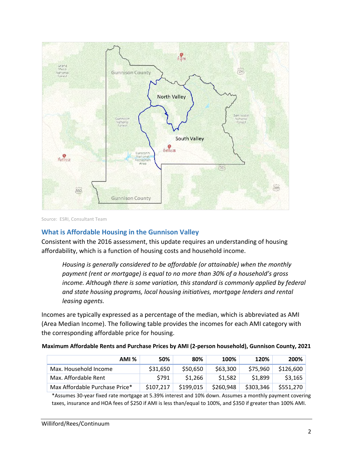

Source: ESRI, Consultant Team

### <span id="page-3-0"></span>**What is Affordable Housing in the Gunnison Valley**

Consistent with the 2016 assessment, this update requires an understanding of housing affordability, which is a function of housing costs and household income.

*Housing is generally considered to be affordable (or attainable) when the monthly payment (rent or mortgage) is equal to no more than 30% of a household's gross income. Although there is some variation, this standard is commonly applied by federal and state housing programs, local housing initiatives, mortgage lenders and rental leasing agents.*

Incomes are typically expressed as a percentage of the median, which is abbreviated as AMI (Area Median Income). The following table provides the incomes for each AMI category with the corresponding affordable price for housing.

| AMI %                          | 50%       | 80%       | 100%      | 120%      | 200%      |
|--------------------------------|-----------|-----------|-----------|-----------|-----------|
| Max. Household Income          | \$31,650  | \$50,650  | \$63,300  | \$75.960  | \$126,600 |
| Max. Affordable Rent           | \$791     | \$1.266   | \$1.582   | \$1.899   | \$3,165   |
| Max Affordable Purchase Price* | \$107.217 | \$199.015 | \$260,948 | \$303,346 | \$551,270 |

\*Assumes 30-year fixed rate mortgage at 5.39% interest and 10% down. Assumes a monthly payment covering taxes, insurance and HOA fees of \$250 if AMI is less than/equal to 100%, and \$350 if greater than 100% AMI.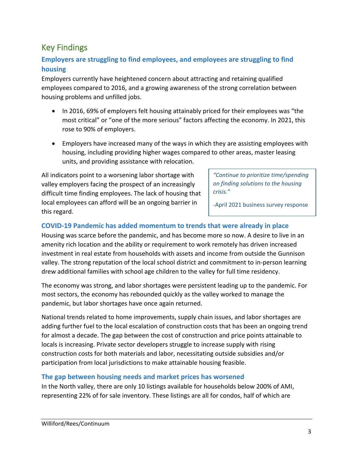# <span id="page-4-0"></span>Key Findings

# <span id="page-4-1"></span>**Employers are struggling to find employees, and employees are struggling to find housing**

Employers currently have heightened concern about attracting and retaining qualified employees compared to 2016, and a growing awareness of the strong correlation between housing problems and unfilled jobs.

- In 2016, 69% of employers felt housing attainably priced for their employees was "the most critical" or "one of the more serious" factors affecting the economy. In 2021, this rose to 90% of employers.
- Employers have increased many of the ways in which they are assisting employees with housing, including providing higher wages compared to other areas, master leasing units, and providing assistance with relocation.

All indicators point to a worsening labor shortage with valley employers facing the prospect of an increasingly difficult time finding employees. The lack of housing that local employees can afford will be an ongoing barrier in this regard.

*"Continue to prioritize time/spending on finding solutions to the housing crisis."*

-April 2021 business survey response

# <span id="page-4-2"></span>**COVID-19 Pandemic has added momentum to trends that were already in place**

Housing was scarce before the pandemic, and has become more so now. A desire to live in an amenity rich location and the ability or requirement to work remotely has driven increased investment in real estate from households with assets and income from outside the Gunnison valley. The strong reputation of the local school district and commitment to in-person learning drew additional families with school age children to the valley for full time residency.

The economy was strong, and labor shortages were persistent leading up to the pandemic. For most sectors, the economy has rebounded quickly as the valley worked to manage the pandemic, but labor shortages have once again returned.

National trends related to home improvements, supply chain issues, and labor shortages are adding further fuel to the local escalation of construction costs that has been an ongoing trend for almost a decade. The gap between the cost of construction and price points attainable to locals is increasing. Private sector developers struggle to increase supply with rising construction costs for both materials and labor, necessitating outside subsidies and/or participation from local jurisdictions to make attainable housing feasible.

#### <span id="page-4-3"></span>**The gap between housing needs and market prices has worsened**

In the North valley, there are only 10 listings available for households below 200% of AMI, representing 22% of for sale inventory. These listings are all for condos, half of which are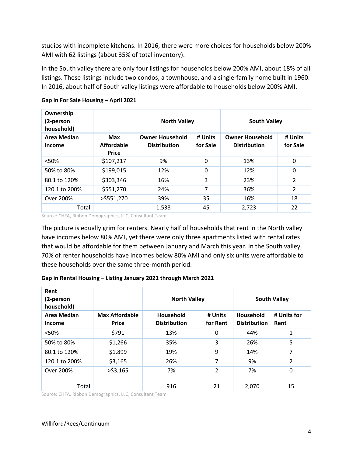studios with incomplete kitchens. In 2016, there were more choices for households below 200% AMI with 62 listings (about 35% of total inventory).

In the South valley there are only four listings for households below 200% AMI, about 18% of all listings. These listings include two condos, a townhouse, and a single-family home built in 1960. In 2016, about half of South valley listings were affordable to households below 200% AMI.

| Ownership<br>(2-person<br>household) |                                          | <b>North Valley</b>                           |                     | <b>South Valley</b>                           |                     |
|--------------------------------------|------------------------------------------|-----------------------------------------------|---------------------|-----------------------------------------------|---------------------|
| <b>Area Median</b><br><b>Income</b>  | <b>Max</b><br>Affordable<br><b>Price</b> | <b>Owner Household</b><br><b>Distribution</b> | # Units<br>for Sale | <b>Owner Household</b><br><b>Distribution</b> | # Units<br>for Sale |
| < 50%                                | \$107,217                                | 9%                                            | $\mathbf{0}$        | 13%                                           | 0                   |
| 50% to 80%                           | \$199,015                                | 12%                                           | 0                   | 12%                                           | 0                   |
| 80.1 to 120%                         | \$303,346                                | 16%                                           | 3                   | 23%                                           | $\overline{2}$      |
| 120.1 to 200%                        | \$551,270                                | 24%                                           | 7                   | 36%                                           | 2                   |
| Over 200%                            | $>$ \$551,270                            | 39%                                           | 35                  | 16%                                           | 18                  |
| Total                                |                                          | 1,538                                         | 45                  | 2,723                                         | 22                  |

### **Gap in For Sale Housing – April 2021**

Source: CHFA, Ribbon Demographics, LLC, Consultant Team

The picture is equally grim for renters. Nearly half of households that rent in the North valley have incomes below 80% AMI, yet there were only three apartments listed with rental rates that would be affordable for them between January and March this year. In the South valley, 70% of renter households have incomes below 80% AMI and only six units were affordable to these households over the same three-month period.

#### **Gap in Rental Housing – Listing January 2021 through March 2021**

| Rent<br>(2-person<br>household)     |                                       | <b>North Valley</b>              |                     |                                  | <b>South Valley</b> |
|-------------------------------------|---------------------------------------|----------------------------------|---------------------|----------------------------------|---------------------|
| <b>Area Median</b><br><b>Income</b> | <b>Max Affordable</b><br><b>Price</b> | Household<br><b>Distribution</b> | # Units<br>for Rent | Household<br><b>Distribution</b> | # Units for<br>Rent |
| < 50%                               | \$791                                 | 13%                              | 0                   | 44%                              | 1                   |
| 50% to 80%                          | \$1,266                               | 35%                              | 3                   | 26%                              | 5                   |
| 80.1 to 120%                        | \$1,899                               | 19%                              | 9                   | 14%                              | 7                   |
| 120.1 to 200%                       | \$3,165                               | 26%                              | 7                   | 9%                               | $\overline{2}$      |
| Over 200%                           | $>$ \$3,165                           | 7%                               | $\overline{2}$      | 7%                               | 0                   |
| Total                               |                                       | 916                              | 21                  | 2,070                            | 15                  |

Source: CHFA, Ribbon Demographics, LLC, Consultant Team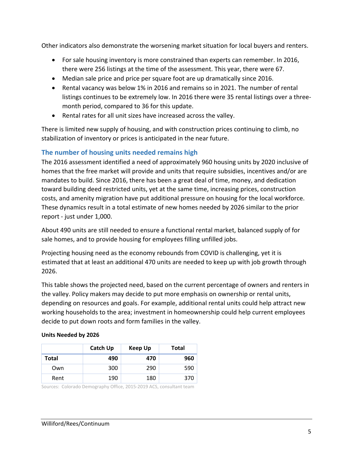Other indicators also demonstrate the worsening market situation for local buyers and renters.

- For sale housing inventory is more constrained than experts can remember. In 2016, there were 256 listings at the time of the assessment. This year, there were 67.
- Median sale price and price per square foot are up dramatically since 2016.
- Rental vacancy was below 1% in 2016 and remains so in 2021. The number of rental listings continues to be extremely low. In 2016 there were 35 rental listings over a threemonth period, compared to 36 for this update.
- Rental rates for all unit sizes have increased across the valley.

There is limited new supply of housing, and with construction prices continuing to climb, no stabilization of inventory or prices is anticipated in the near future.

# <span id="page-6-0"></span>**The number of housing units needed remains high**

The 2016 assessment identified a need of approximately 960 housing units by 2020 inclusive of homes that the free market will provide and units that require subsidies, incentives and/or are mandates to build. Since 2016, there has been a great deal of time, money, and dedication toward building deed restricted units, yet at the same time, increasing prices, construction costs, and amenity migration have put additional pressure on housing for the local workforce. These dynamics result in a total estimate of new homes needed by 2026 similar to the prior report - just under 1,000.

About 490 units are still needed to ensure a functional rental market, balanced supply of for sale homes, and to provide housing for employees filling unfilled jobs.

Projecting housing need as the economy rebounds from COVID is challenging, yet it is estimated that at least an additional 470 units are needed to keep up with job growth through 2026.

This table shows the projected need, based on the current percentage of owners and renters in the valley. Policy makers may decide to put more emphasis on ownership or rental units, depending on resources and goals. For example, additional rental units could help attract new working households to the area; investment in homeownership could help current employees decide to put down roots and form families in the valley.

|              | Catch Up | Keep Up | <b>Total</b> |
|--------------|----------|---------|--------------|
| <b>Total</b> | 490      | 470     | 960          |
| Own          | 300      | 290     | 590          |
| Rent         | 190      | 180     | 370          |

#### **Units Needed by 2026**

Sources: Colorado Demography Office, 2015-2019 ACS, consultant team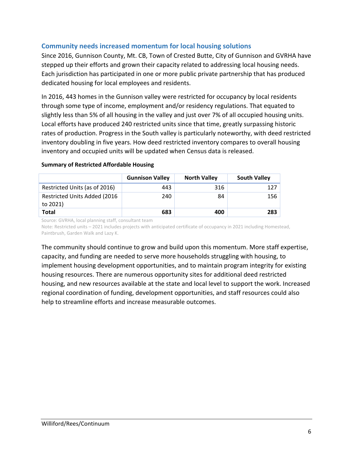# <span id="page-7-0"></span>**Community needs increased momentum for local housing solutions**

Since 2016, Gunnison County, Mt. CB, Town of Crested Butte, City of Gunnison and GVRHA have stepped up their efforts and grown their capacity related to addressing local housing needs. Each jurisdiction has participated in one or more public private partnership that has produced dedicated housing for local employees and residents.

In 2016, 443 homes in the Gunnison valley were restricted for occupancy by local residents through some type of income, employment and/or residency regulations. That equated to slightly less than 5% of all housing in the valley and just over 7% of all occupied housing units. Local efforts have produced 240 restricted units since that time, greatly surpassing historic rates of production. Progress in the South valley is particularly noteworthy, with deed restricted inventory doubling in five years. How deed restricted inventory compares to overall housing inventory and occupied units will be updated when Census data is released.

|                                                  | <b>Gunnison Valley</b> | <b>North Valley</b> | <b>South Valley</b> |
|--------------------------------------------------|------------------------|---------------------|---------------------|
| Restricted Units (as of 2016)                    | 443                    | 316                 | 127                 |
| <b>Restricted Units Added (2016)</b><br>to 2021) | 240                    | 84                  | 156                 |
| <b>Total</b>                                     | 683                    | 400                 | 283                 |

#### **Summary of Restricted Affordable Housing**

Source: GVRHA, local planning staff, consultant team

Note: Restricted units – 2021 includes projects with anticipated certificate of occupancy in 2021 including Homestead, Paintbrush, Garden Walk and Lazy K.

The community should continue to grow and build upon this momentum. More staff expertise, capacity, and funding are needed to serve more households struggling with housing, to implement housing development opportunities, and to maintain program integrity for existing housing resources. There are numerous opportunity sites for additional deed restricted housing, and new resources available at the state and local level to support the work. Increased regional coordination of funding, development opportunities, and staff resources could also help to streamline efforts and increase measurable outcomes.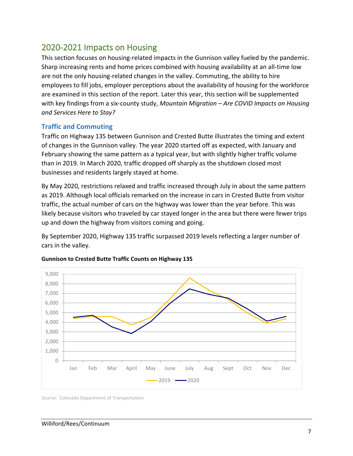# <span id="page-8-0"></span>2020-2021 Impacts on Housing

This section focuses on housing-related impacts in the Gunnison valley fueled by the pandemic. Sharp increasing rents and home prices combined with housing availability at an all-time low are not the only housing-related changes in the valley. Commuting, the ability to hire employees to fill jobs, employer perceptions about the availability of housing for the workforce are examined in this section of the report. Later this year, this section will be supplemented with key findings from a six-county study, *Mountain Migration – Are COVID Impacts on Housing and Services Here to Stay?*

### <span id="page-8-1"></span>**Traffic and Commuting**

Traffic on Highway 135 between Gunnison and Crested Butte illustrates the timing and extent of changes in the Gunnison valley. The year 2020 started off as expected, with January and February showing the same pattern as a typical year, but with slightly higher traffic volume than in 2019. In March 2020, traffic dropped off sharply as the shutdown closed most businesses and residents largely stayed at home.

By May 2020, restrictions relaxed and traffic increased through July in about the same pattern as 2019. Although local officials remarked on the increase in cars in Crested Butte from visitor traffic, the actual number of cars on the highway was lower than the year before. This was likely because visitors who traveled by car stayed longer in the area but there were fewer trips up and down the highway from visitors coming and going.

By September 2020, Highway 135 traffic surpassed 2019 levels reflecting a larger number of cars in the valley.



#### **Gunnison to Crested Butte Traffic Counts on Highway 135**

Source: Colorado Department of Transportation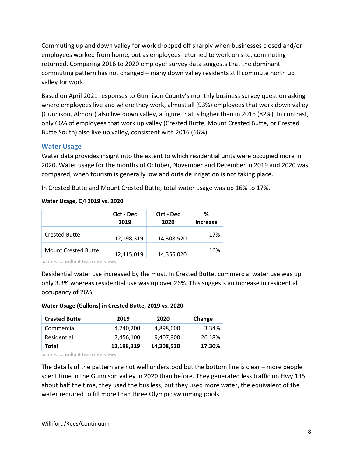Commuting up and down valley for work dropped off sharply when businesses closed and/or employees worked from home, but as employees returned to work on site, commuting returned. Comparing 2016 to 2020 employer survey data suggests that the dominant commuting pattern has not changed – many down valley residents still commute north up valley for work.

Based on April 2021 responses to Gunnison County's monthly business survey question asking where employees live and where they work, almost all (93%) employees that work down valley (Gunnison, Almont) also live down valley, a figure that is higher than in 2016 (82%). In contrast, only 66% of employees that work up valley (Crested Butte, Mount Crested Butte, or Crested Butte South) also live up valley, consistent with 2016 (66%).

### <span id="page-9-0"></span>**Water Usage**

Water data provides insight into the extent to which residential units were occupied more in 2020. Water usage for the months of October, November and December in 2019 and 2020 was compared, when tourism is generally low and outside irrigation is not taking place.

In Crested Butte and Mount Crested Butte, total water usage was up 16% to 17%.

#### **Water Usage, Q4 2019 vs. 2020**

|                            | Oct - Dec<br>2019 | Oct - Dec<br>2020 | ℅<br>Increase |
|----------------------------|-------------------|-------------------|---------------|
| <b>Crested Butte</b>       | 12,198,319        | 14,308,520        | 17%           |
| <b>Mount Crested Butte</b> | 12,415,019        | 14,356,020        | 16%           |

Source: consultant team interviews

Residential water use increased by the most. In Crested Butte, commercial water use was up only 3.3% whereas residential use was up over 26%. This suggests an increase in residential occupancy of 26%.

#### **Water Usage (Gallons) in Crested Butte, 2019 vs. 2020**

| <b>Crested Butte</b> | 2019       | 2020       | Change |
|----------------------|------------|------------|--------|
| Commercial           | 4.740.200  | 4.898.600  | 3.34%  |
| Residential          | 7.456.100  | 9.407.900  | 26.18% |
| Total                | 12,198,319 | 14,308,520 | 17.30% |

Source: consultant team interviews

The details of the pattern are not well understood but the bottom line is clear – more people spent time in the Gunnison valley in 2020 than before. They generated less traffic on Hwy 135 about half the time, they used the bus less, but they used more water, the equivalent of the water required to fill more than three Olympic swimming pools.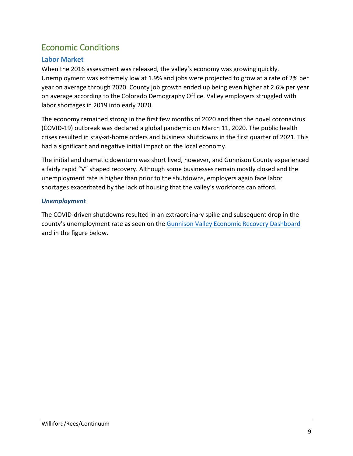# <span id="page-10-0"></span>Economic Conditions

# <span id="page-10-1"></span>**Labor Market**

When the 2016 assessment was released, the valley's economy was growing quickly. Unemployment was extremely low at 1.9% and jobs were projected to grow at a rate of 2% per year on average through 2020. County job growth ended up being even higher at 2.6% per year on average according to the Colorado Demography Office. Valley employers struggled with labor shortages in 2019 into early 2020.

The economy remained strong in the first few months of 2020 and then the novel coronavirus (COVID-19) outbreak was declared a global pandemic on March 11, 2020. The public health crises resulted in stay-at-home orders and business shutdowns in the first quarter of 2021. This had a significant and negative initial impact on the local economy.

The initial and dramatic downturn was short lived, however, and Gunnison County experienced a fairly rapid "V" shaped recovery. Although some businesses remain mostly closed and the unemployment rate is higher than prior to the shutdowns, employers again face labor shortages exacerbated by the lack of housing that the valley's workforce can afford.

### *Unemployment*

The COVID-driven shutdowns resulted in an extraordinary spike and subsequent drop in the county's unemployment rate as seen on the [Gunnison Valley Economic Recovery Dashboard](https://covid19.gunnisoncounty.org/updates/gunnison-valley-economic-recovery-dashboard/) and in the figure below.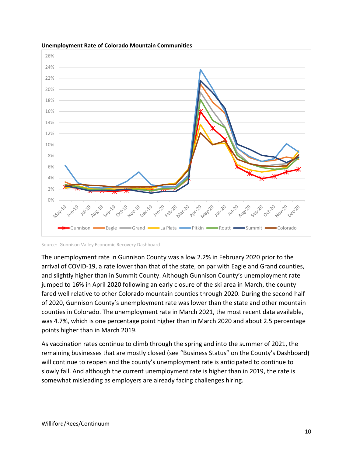

#### **Unemployment Rate of Colorado Mountain Communities**

The unemployment rate in Gunnison County was a low 2.2% in February 2020 prior to the arrival of COVID-19, a rate lower than that of the state, on par with Eagle and Grand counties, and slightly higher than in Summit County. Although Gunnison County's unemployment rate jumped to 16% in April 2020 following an early closure of the ski area in March, the county fared well relative to other Colorado mountain counties through 2020. During the second half of 2020, Gunnison County's unemployment rate was lower than the state and other mountain counties in Colorado. The unemployment rate in March 2021, the most recent data available, was 4.7%, which is one percentage point higher than in March 2020 and about 2.5 percentage points higher than in March 2019.

As vaccination rates continue to climb through the spring and into the summer of 2021, the remaining businesses that are mostly closed (see "Business Status" on the County's Dashboard) will continue to reopen and the county's unemployment rate is anticipated to continue to slowly fall. And although the current unemployment rate is higher than in 2019, the rate is somewhat misleading as employers are already facing challenges hiring.

Source: Gunnison Valley Economic Recovery Dashboard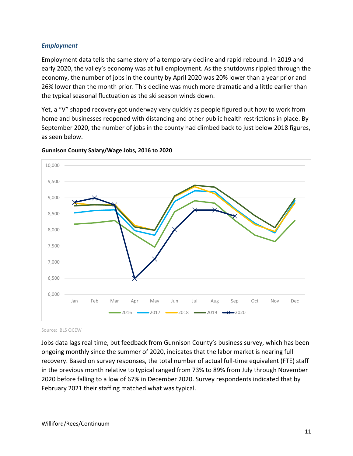### *Employment*

Employment data tells the same story of a temporary decline and rapid rebound. In 2019 and early 2020, the valley's economy was at full employment. As the shutdowns rippled through the economy, the number of jobs in the county by April 2020 was 20% lower than a year prior and 26% lower than the month prior. This decline was much more dramatic and a little earlier than the typical seasonal fluctuation as the ski season winds down.

Yet, a "V" shaped recovery got underway very quickly as people figured out how to work from home and businesses reopened with distancing and other public health restrictions in place. By September 2020, the number of jobs in the county had climbed back to just below 2018 figures, as seen below.



#### **Gunnison County Salary/Wage Jobs, 2016 to 2020**

Source: BLS QCEW

Jobs data lags real time, but feedback from Gunnison County's business survey, which has been ongoing monthly since the summer of 2020, indicates that the labor market is nearing full recovery. Based on survey responses, the total number of actual full-time equivalent (FTE) staff in the previous month relative to typical ranged from 73% to 89% from July through November 2020 before falling to a low of 67% in December 2020. Survey respondents indicated that by February 2021 their staffing matched what was typical.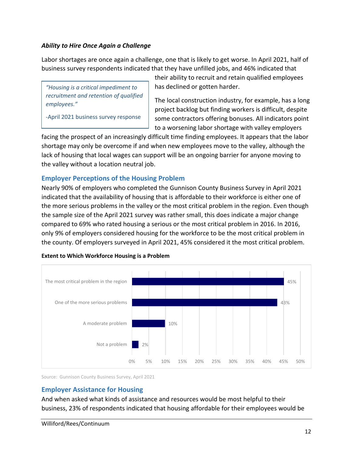### *Ability to Hire Once Again a Challenge*

Labor shortages are once again a challenge, one that is likely to get worse. In April 2021, half of business survey respondents indicated that they have unfilled jobs, and 46% indicated that

*"Housing is a critical impediment to recruitment and retention of qualified employees."*

-April 2021 business survey response

their ability to recruit and retain qualified employees has declined or gotten harder.

The local construction industry, for example, has a long project backlog but finding workers is difficult, despite some contractors offering bonuses. All indicators point to a worsening labor shortage with valley employers

facing the prospect of an increasingly difficult time finding employees. It appears that the labor shortage may only be overcome if and when new employees move to the valley, although the lack of housing that local wages can support will be an ongoing barrier for anyone moving to the valley without a location neutral job.

# <span id="page-13-0"></span>**Employer Perceptions of the Housing Problem**

Nearly 90% of employers who completed the Gunnison County Business Survey in April 2021 indicated that the availability of housing that is affordable to their workforce is either one of the more serious problems in the valley or the most critical problem in the region. Even though the sample size of the April 2021 survey was rather small, this does indicate a major change compared to 69% who rated housing a serious or the most critical problem in 2016. In 2016, only 9% of employers considered housing for the workforce to be the most critical problem in the county. Of employers surveyed in April 2021, 45% considered it the most critical problem.



#### **Extent to Which Workforce Housing is a Problem**

Source: Gunnison County Business Survey, April 2021

#### <span id="page-13-1"></span>**Employer Assistance for Housing**

And when asked what kinds of assistance and resources would be most helpful to their business, 23% of respondents indicated that housing affordable for their employees would be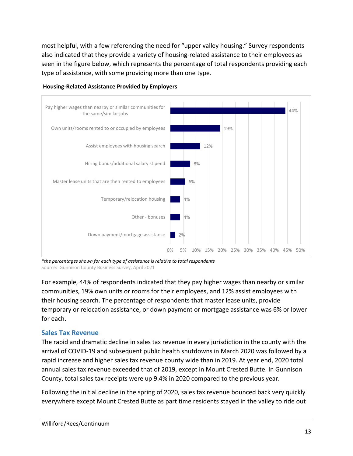most helpful, with a few referencing the need for "upper valley housing." Survey respondents also indicated that they provide a variety of housing-related assistance to their employees as seen in the figure below, which represents the percentage of total respondents providing each type of assistance, with some providing more than one type.



**Housing-Related Assistance Provided by Employers**

*\*the percentages shown for each type of assistance is relative to total respondents* Source: Gunnison County Business Survey, April 2021

For example, 44% of respondents indicated that they pay higher wages than nearby or similar communities, 19% own units or rooms for their employees, and 12% assist employees with their housing search. The percentage of respondents that master lease units, provide temporary or relocation assistance, or down payment or mortgage assistance was 6% or lower for each.

#### <span id="page-14-0"></span>**Sales Tax Revenue**

The rapid and dramatic decline in sales tax revenue in every jurisdiction in the county with the arrival of COVID-19 and subsequent public health shutdowns in March 2020 was followed by a rapid increase and higher sales tax revenue county wide than in 2019. At year end, 2020 total annual sales tax revenue exceeded that of 2019, except in Mount Crested Butte. In Gunnison County, total sales tax receipts were up 9.4% in 2020 compared to the previous year.

Following the initial decline in the spring of 2020, sales tax revenue bounced back very quickly everywhere except Mount Crested Butte as part time residents stayed in the valley to ride out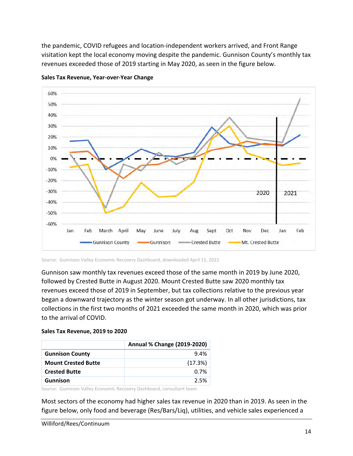the pandemic, COVID refugees and location-independent workers arrived, and Front Range visitation kept the local economy moving despite the pandemic. Gunnison County's monthly tax revenues exceeded those of 2019 starting in May 2020, as seen in the figure below.



**Sales Tax Revenue, Year-over-Year Change**

Source: Gunnison Valley Economic Recovery Dashboard, downloaded April 15, 2021

Gunnison saw monthly tax revenues exceed those of the same month in 2019 by June 2020, followed by Crested Butte in August 2020. Mount Crested Butte saw 2020 monthly tax revenues exceed those of 2019 in September, but tax collections relative to the previous year began a downward trajectory as the winter season got underway. In all other jurisdictions, tax collections in the first two months of 2021 exceeded the same month in 2020, which was prior to the arrival of COVID.

#### **Sales Tax Revenue, 2019 to 2020**

|                            | Annual % Change (2019-2020) |
|----------------------------|-----------------------------|
| <b>Gunnison County</b>     | 9.4%                        |
| <b>Mount Crested Butte</b> | (17.3%)                     |
| <b>Crested Butte</b>       | 0.7%                        |
| <b>Gunnison</b>            | 2.5%                        |

Source: Gunnison Valley Economic Recovery Dashboard, consultant team

Most sectors of the economy had higher sales tax revenue in 2020 than in 2019. As seen in the figure below, only food and beverage (Res/Bars/Liq), utilities, and vehicle sales experienced a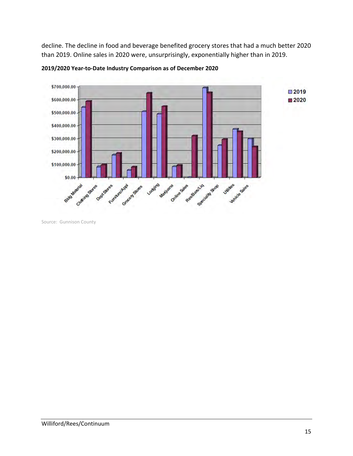decline. The decline in food and beverage benefited grocery stores that had a much better 2020 than 2019. Online sales in 2020 were, unsurprisingly, exponentially higher than in 2019.



**2019/2020 Year-to-Date Industry Comparison as of December 2020**

Source: Gunnison County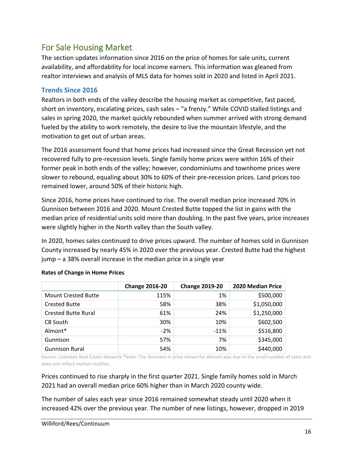# <span id="page-17-0"></span>For Sale Housing Market

The section updates information since 2016 on the price of homes for sale units, current availability, and affordability for local income earners. This information was gleaned from realtor interviews and analysis of MLS data for homes sold in 2020 and listed in April 2021.

### <span id="page-17-1"></span>**Trends Since 2016**

Realtors in both ends of the valley describe the housing market as competitive, fast paced, short on inventory, escalating prices, cash sales – "a frenzy." While COVID stalled listings and sales in spring 2020, the market quickly rebounded when summer arrived with strong demand fueled by the ability to work remotely, the desire to live the mountain lifestyle, and the motivation to get out of urban areas.

The 2016 assessment found that home prices had increased since the Great Recession yet not recovered fully to pre-recession levels. Single family home prices were within 16% of their former peak in both ends of the valley; however, condominiums and townhome prices were slower to rebound, equaling about 30% to 60% of their pre-recession prices. Land prices too remained lower, around 50% of their historic high.

Since 2016, home prices have continued to rise. The overall median price increased 70% in Gunnison between 2016 and 2020. Mount Crested Butte topped the list in gains with the median price of residential units sold more than doubling. In the past five years, price increases were slightly higher in the North valley than the South valley.

In 2020, homes sales continued to drive prices upward. The number of homes sold in Gunnison County increased by nearly 45% in 2020 over the previous year. Crested Butte had the highest jump – a 38% overall increase in the median price in a single year

|                            | <b>Change 2016-20</b> | <b>Change 2019-20</b> | 2020 Median Price |
|----------------------------|-----------------------|-----------------------|-------------------|
| <b>Mount Crested Butte</b> | 115%                  | 1%                    | \$500,000         |
| <b>Crested Butte</b>       | 58%                   | 38%                   | \$1,050,000       |
| <b>Crested Butte Rural</b> | 61%                   | 24%                   | \$1,250,000       |
| CB South                   | 30%                   | 10%                   | \$602,500         |
| Almont*                    | $-2%$                 | $-11%$                | \$516,800         |
| Gunnison                   | 57%                   | 7%                    | \$345,000         |
| <b>Gunnison Rural</b>      | 54%                   | 10%                   | \$440,000         |

#### **Rates of Change in Home Prices**

Source: Colorado Real Estate Network \*Note: The decrease in price shown for Almont was due to the small number of sales and does not reflect market realities.

Prices continued to rise sharply in the first quarter 2021. Single family homes sold in March 2021 had an overall median price 60% higher than in March 2020 county wide.

The number of sales each year since 2016 remained somewhat steady until 2020 when it increased 42% over the previous year. The number of new listings, however, dropped in 2019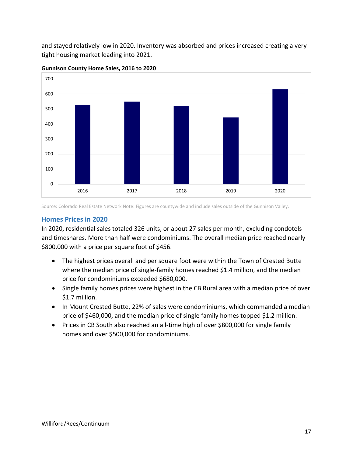and stayed relatively low in 2020. Inventory was absorbed and prices increased creating a very tight housing market leading into 2021.



**Gunnison County Home Sales, 2016 to 2020**

Source: Colorado Real Estate Network Note: Figures are countywide and include sales outside of the Gunnison Valley.

### <span id="page-18-0"></span>**Homes Prices in 2020**

In 2020, residential sales totaled 326 units, or about 27 sales per month, excluding condotels and timeshares. More than half were condominiums. The overall median price reached nearly \$800,000 with a price per square foot of \$456.

- The highest prices overall and per square foot were within the Town of Crested Butte where the median price of single-family homes reached \$1.4 million, and the median price for condominiums exceeded \$680,000.
- Single family homes prices were highest in the CB Rural area with a median price of over \$1.7 million.
- In Mount Crested Butte, 22% of sales were condominiums, which commanded a median price of \$460,000, and the median price of single family homes topped \$1.2 million.
- Prices in CB South also reached an all-time high of over \$800,000 for single family homes and over \$500,000 for condominiums.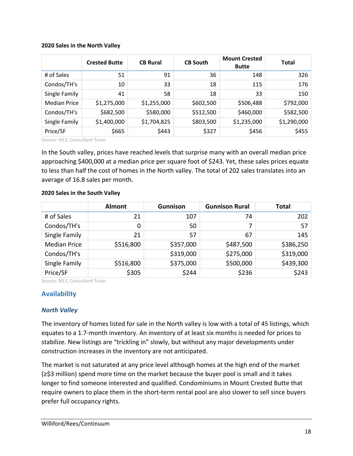#### **2020 Sales in the North Valley**

|                     | <b>Crested Butte</b> | <b>CB Rural</b> | <b>CB South</b> | <b>Mount Crested</b><br><b>Butte</b> | <b>Total</b> |
|---------------------|----------------------|-----------------|-----------------|--------------------------------------|--------------|
| # of Sales          | 51                   | 91              | 36              | 148                                  | 326          |
| Condos/TH's         | 10                   | 33              | 18              | 115                                  | 176          |
| Single Family       | 41                   | 58              | 18              | 33                                   | 150          |
| <b>Median Price</b> | \$1,275,000          | \$1,255,000     | \$602,500       | \$506,488                            | \$792,000    |
| Condos/TH's         | \$682,500            | \$580,000       | \$512,500       | \$460,000                            | \$582,500    |
| Single Family       | \$1,400,000          | \$1,704,825     | \$803,500       | \$1,235,000                          | \$1,290,000  |
| Price/SF            | \$665                | \$443           | \$327           | \$456                                | \$455        |

Source: MLS, Consultant Team

In the South valley, prices have reached levels that surprise many with an overall median price approaching \$400,000 at a median price per square foot of \$243. Yet, these sales prices equate to less than half the cost of homes in the North valley. The total of 202 sales translates into an average of 16.8 sales per month.

#### **2020 Sales in the South Valley**

|                     | <b>Almont</b> | Gunnison  | <b>Gunnison Rural</b> | <b>Total</b> |
|---------------------|---------------|-----------|-----------------------|--------------|
| # of Sales          | 21            | 107       | 74                    | 202          |
| Condos/TH's         | 0             | 50        | 7                     | 57           |
| Single Family       | 21            | 57        | 67                    | 145          |
| <b>Median Price</b> | \$516,800     | \$357,000 | \$487,500             | \$386,250    |
| Condos/TH's         |               | \$319,000 | \$275,000             | \$319,000    |
| Single Family       | \$516,800     | \$375,000 | \$500,000             | \$439,300    |
| Price/SF            | \$305         | \$244     | \$236                 | \$243        |

Source: MLS, Consultant Team

# <span id="page-19-0"></span>**Availability**

#### *North Valley*

The inventory of homes listed for sale in the North valley is low with a total of 45 listings, which equates to a 1.7-month inventory. An inventory of at least six months is needed for prices to stabilize. New listings are "trickling in" slowly, but without any major developments under construction increases in the inventory are not anticipated.

The market is not saturated at any price level although homes at the high end of the market (≥\$3 million) spend more time on the market because the buyer pool is small and it takes longer to find someone interested and qualified. Condominiums in Mount Crested Butte that require owners to place them in the short-term rental pool are also slower to sell since buyers prefer full occupancy rights.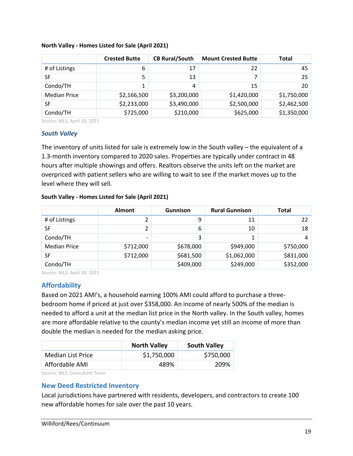|                     | <b>Crested Butte</b> | <b>CB Rural/South</b> | <b>Mount Crested Butte</b> | <b>Total</b>    |
|---------------------|----------------------|-----------------------|----------------------------|-----------------|
| # of Listings       | 6                    | 17                    | 22                         | 45              |
| SF                  | 5                    | 13                    |                            | 25 <sub>1</sub> |
| Condo/TH            | 1                    | 4                     | 15                         | 20 <sup>1</sup> |
| <b>Median Price</b> | \$2,166,500          | \$3,200,000           | \$1,420,000                | \$1,750,000     |
| SF                  | \$2,233,000          | \$3,490,000           | \$2,500,000                | \$2,462,500     |
| Condo/TH            | \$725,000            | \$210,000             | \$625,000                  | \$1,350,000     |

#### **North Valley - Homes Listed for Sale (April 2021)**

Source: MLS, April 18, 2021

#### *South Valley*

The inventory of units listed for sale is extremely low in the South valley – the equivalent of a 1.3-month inventory compared to 2020 sales. Properties are typically under contract in 48 hours after multiple showings and offers. Realtors observe the units left on the market are overpriced with patient sellers who are willing to wait to see if the market moves up to the level where they will sell.

#### **South Valley - Homes Listed for Sale (April 2021)**

|                     | Almont    | <b>Gunnison</b> | <b>Rural Gunnison</b> | <b>Total</b> |
|---------------------|-----------|-----------------|-----------------------|--------------|
| # of Listings       |           | 9               | 11                    | 22           |
| SF                  | າ         | 6               | 10                    | 18           |
| Condo/TH            | -         | 3               |                       | 4            |
| <b>Median Price</b> | \$712,000 | \$678,000       | \$949,000             | \$750,000    |
| <b>SF</b>           | \$712,000 | \$681,500       | \$1,062,000           | \$831,000    |
| Condo/TH            |           | \$409,000       | \$249,000             | \$352,000    |

Source: MLS, April 18, 2021

#### <span id="page-20-0"></span>**Affordability**

Based on 2021 AMI's, a household earning 100% AMI could afford to purchase a threebedroom home if priced at just over \$358,000. An income of nearly 500% of the median is needed to afford a unit at the median list price in the North valley. In the South valley, homes are more affordable relative to the county's median income yet still an income of more than double the median is needed for the median asking price.

|                          | <b>North Valley</b> | <b>South Valley</b> |
|--------------------------|---------------------|---------------------|
| <b>Median List Price</b> | \$1,750,000         | \$750,000           |
| Affordable AMI           | 489%                | 209%                |

Source: MLS, Consultant Team

#### <span id="page-20-1"></span>**New Deed Restricted Inventory**

Local jurisdictions have partnered with residents, developers, and contractors to create 100 new affordable homes for sale over the past 10 years.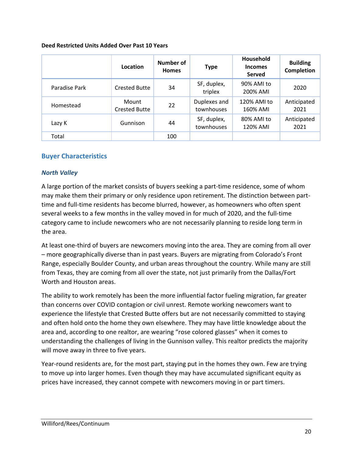#### **Deed Restricted Units Added Over Past 10 Years**

|               | Location                      | Number of<br><b>Homes</b> | <b>Type</b>                | <b>Household</b><br><b>Incomes</b><br>Served | <b>Building</b><br>Completion |
|---------------|-------------------------------|---------------------------|----------------------------|----------------------------------------------|-------------------------------|
| Paradise Park | <b>Crested Butte</b>          | 34                        | SF, duplex,<br>triplex     | 90% AMI to<br>200% AMI                       | 2020                          |
| Homestead     | Mount<br><b>Crested Butte</b> | 22                        | Duplexes and<br>townhouses | 120% AMI to<br>160% AMI                      | Anticipated<br>2021           |
| Lazy K        | Gunnison                      | 44                        | SF, duplex,<br>townhouses  | 80% AMI to<br>120% AMI                       | Anticipated<br>2021           |
| Total         |                               | 100                       |                            |                                              |                               |

# <span id="page-21-0"></span>**Buyer Characteristics**

#### *North Valley*

A large portion of the market consists of buyers seeking a part-time residence, some of whom may make them their primary or only residence upon retirement. The distinction between parttime and full-time residents has become blurred, however, as homeowners who often spent several weeks to a few months in the valley moved in for much of 2020, and the full-time category came to include newcomers who are not necessarily planning to reside long term in the area.

At least one-third of buyers are newcomers moving into the area. They are coming from all over – more geographically diverse than in past years. Buyers are migrating from Colorado's Front Range, especially Boulder County, and urban areas throughout the country. While many are still from Texas, they are coming from all over the state, not just primarily from the Dallas/Fort Worth and Houston areas.

The ability to work remotely has been the more influential factor fueling migration, far greater than concerns over COVID contagion or civil unrest. Remote working newcomers want to experience the lifestyle that Crested Butte offers but are not necessarily committed to staying and often hold onto the home they own elsewhere. They may have little knowledge about the area and, according to one realtor, are wearing "rose colored glasses" when it comes to understanding the challenges of living in the Gunnison valley. This realtor predicts the majority will move away in three to five years.

Year-round residents are, for the most part, staying put in the homes they own. Few are trying to move up into larger homes. Even though they may have accumulated significant equity as prices have increased, they cannot compete with newcomers moving in or part timers.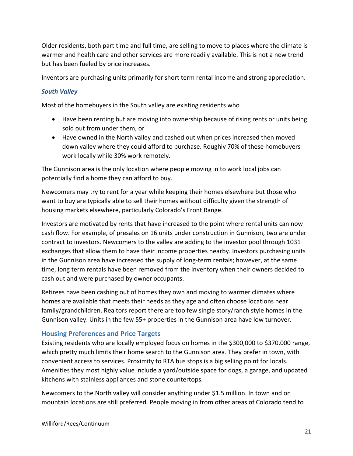Older residents, both part time and full time, are selling to move to places where the climate is warmer and health care and other services are more readily available. This is not a new trend but has been fueled by price increases.

Inventors are purchasing units primarily for short term rental income and strong appreciation.

# *South Valley*

Most of the homebuyers in the South valley are existing residents who

- Have been renting but are moving into ownership because of rising rents or units being sold out from under them, or
- Have owned in the North valley and cashed out when prices increased then moved down valley where they could afford to purchase. Roughly 70% of these homebuyers work locally while 30% work remotely.

The Gunnison area is the only location where people moving in to work local jobs can potentially find a home they can afford to buy.

Newcomers may try to rent for a year while keeping their homes elsewhere but those who want to buy are typically able to sell their homes without difficulty given the strength of housing markets elsewhere, particularly Colorado's Front Range.

Investors are motivated by rents that have increased to the point where rental units can now cash flow. For example, of presales on 16 units under construction in Gunnison, two are under contract to investors. Newcomers to the valley are adding to the investor pool through 1031 exchanges that allow them to have their income properties nearby. Investors purchasing units in the Gunnison area have increased the supply of long-term rentals; however, at the same time, long term rentals have been removed from the inventory when their owners decided to cash out and were purchased by owner occupants.

Retirees have been cashing out of homes they own and moving to warmer climates where homes are available that meets their needs as they age and often choose locations near family/grandchildren. Realtors report there are too few single story/ranch style homes in the Gunnison valley. Units in the few 55+ properties in the Gunnison area have low turnover.

# <span id="page-22-0"></span>**Housing Preferences and Price Targets**

Existing residents who are locally employed focus on homes in the \$300,000 to \$370,000 range, which pretty much limits their home search to the Gunnison area. They prefer in town, with convenient access to services. Proximity to RTA bus stops is a big selling point for locals. Amenities they most highly value include a yard/outside space for dogs, a garage, and updated kitchens with stainless appliances and stone countertops.

Newcomers to the North valley will consider anything under \$1.5 million. In town and on mountain locations are still preferred. People moving in from other areas of Colorado tend to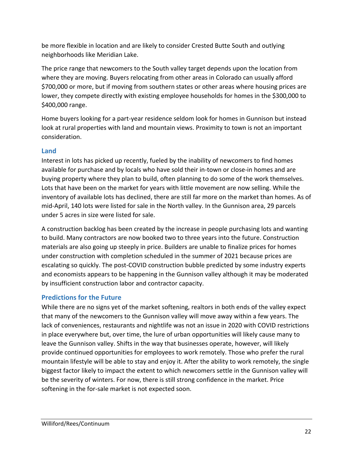be more flexible in location and are likely to consider Crested Butte South and outlying neighborhoods like Meridian Lake.

The price range that newcomers to the South valley target depends upon the location from where they are moving. Buyers relocating from other areas in Colorado can usually afford \$700,000 or more, but if moving from southern states or other areas where housing prices are lower, they compete directly with existing employee households for homes in the \$300,000 to \$400,000 range.

Home buyers looking for a part-year residence seldom look for homes in Gunnison but instead look at rural properties with land and mountain views. Proximity to town is not an important consideration.

# <span id="page-23-0"></span>**Land**

Interest in lots has picked up recently, fueled by the inability of newcomers to find homes available for purchase and by locals who have sold their in-town or close-in homes and are buying property where they plan to build, often planning to do some of the work themselves. Lots that have been on the market for years with little movement are now selling. While the inventory of available lots has declined, there are still far more on the market than homes. As of mid-April, 140 lots were listed for sale in the North valley. In the Gunnison area, 29 parcels under 5 acres in size were listed for sale.

A construction backlog has been created by the increase in people purchasing lots and wanting to build. Many contractors are now booked two to three years into the future. Construction materials are also going up steeply in price. Builders are unable to finalize prices for homes under construction with completion scheduled in the summer of 2021 because prices are escalating so quickly. The post-COVID construction bubble predicted by some industry experts and economists appears to be happening in the Gunnison valley although it may be moderated by insufficient construction labor and contractor capacity.

# <span id="page-23-1"></span>**Predictions for the Future**

While there are no signs yet of the market softening, realtors in both ends of the valley expect that many of the newcomers to the Gunnison valley will move away within a few years. The lack of conveniences, restaurants and nightlife was not an issue in 2020 with COVID restrictions in place everywhere but, over time, the lure of urban opportunities will likely cause many to leave the Gunnison valley. Shifts in the way that businesses operate, however, will likely provide continued opportunities for employees to work remotely. Those who prefer the rural mountain lifestyle will be able to stay and enjoy it. After the ability to work remotely, the single biggest factor likely to impact the extent to which newcomers settle in the Gunnison valley will be the severity of winters. For now, there is still strong confidence in the market. Price softening in the for-sale market is not expected soon.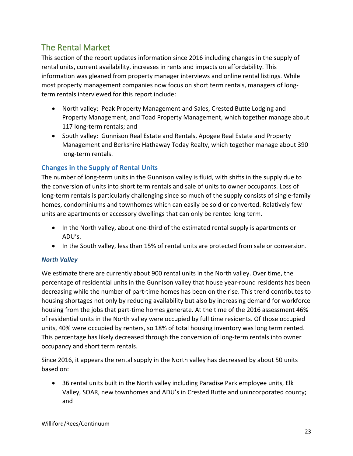# <span id="page-24-0"></span>The Rental Market

This section of the report updates information since 2016 including changes in the supply of rental units, current availability, increases in rents and impacts on affordability. This information was gleaned from property manager interviews and online rental listings. While most property management companies now focus on short term rentals, managers of longterm rentals interviewed for this report include:

- North valley: Peak Property Management and Sales, Crested Butte Lodging and Property Management, and Toad Property Management, which together manage about 117 long-term rentals; and
- South valley: Gunnison Real Estate and Rentals, Apogee Real Estate and Property Management and Berkshire Hathaway Today Realty, which together manage about 390 long-term rentals.

# <span id="page-24-1"></span>**Changes in the Supply of Rental Units**

The number of long-term units in the Gunnison valley is fluid, with shifts in the supply due to the conversion of units into short term rentals and sale of units to owner occupants. Loss of long-term rentals is particularly challenging since so much of the supply consists of single-family homes, condominiums and townhomes which can easily be sold or converted. Relatively few units are apartments or accessory dwellings that can only be rented long term.

- In the North valley, about one-third of the estimated rental supply is apartments or ADU's.
- In the South valley, less than 15% of rental units are protected from sale or conversion.

# *North Valley*

We estimate there are currently about 900 rental units in the North valley. Over time, the percentage of residential units in the Gunnison valley that house year-round residents has been decreasing while the number of part-time homes has been on the rise. This trend contributes to housing shortages not only by reducing availability but also by increasing demand for workforce housing from the jobs that part-time homes generate. At the time of the 2016 assessment 46% of residential units in the North valley were occupied by full time residents. Of those occupied units, 40% were occupied by renters, so 18% of total housing inventory was long term rented. This percentage has likely decreased through the conversion of long-term rentals into owner occupancy and short term rentals.

Since 2016, it appears the rental supply in the North valley has decreased by about 50 units based on:

• 36 rental units built in the North valley including Paradise Park employee units, Elk Valley, SOAR, new townhomes and ADU's in Crested Butte and unincorporated county; and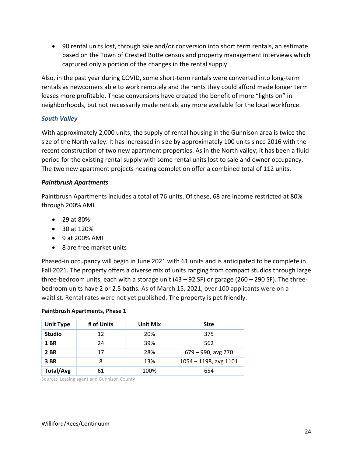• 90 rental units lost, through sale and/or conversion into short term rentals, an estimate based on the Town of Crested Butte census and property management interviews which captured only a portion of the changes in the rental supply

Also, in the past year during COVID, some short-term rentals were converted into long-term rentals as newcomers able to work remotely and the rents they could afford made longer term leases more profitable. These conversions have created the benefit of more "lights on" in neighborhoods, but not necessarily made rentals any more available for the local workforce.

### *South Valley*

With approximately 2,000 units, the supply of rental housing in the Gunnison area is twice the size of the North valley. It has increased in size by approximately 100 units since 2016 with the recent construction of two new apartment properties. As in the North valley, it has been a fluid period for the existing rental supply with some rental units lost to sale and owner occupancy. The two new apartment projects nearing completion offer a combined total of 112 units.

#### *Paintbrush Apartments*

Paintbrush Apartments includes a total of 76 units. Of these, 68 are income restricted at 80% through 200% AMI.

- 29 at 80%
- 30 at 120%
- 9 at 200% AMI
- 8 are free market units

Phased-in occupancy will begin in June 2021 with 61 units and is anticipated to be complete in Fall 2021. The property offers a diverse mix of units ranging from compact studios through large three-bedroom units, each with a storage unit (43 – 92 SF) or garage (260 – 290 SF). The threebedroom units have 2 or 2.5 baths. As of March 15, 2021, over 100 applicants were on a waitlist. Rental rates were not yet published. The property is pet friendly.

#### **Paintbrush Apartments, Phase 1**

| <b>Unit Type</b> | # of Units | Unit Mix | <b>Size</b>              |
|------------------|------------|----------|--------------------------|
| <b>Studio</b>    | 12         | 20%      | 375                      |
| <b>1 BR</b>      | 24         | 39%      | 562                      |
| <b>2 BR</b>      | 17         | 28%      | 679 - 990, avg 770       |
| 3 BR             | 8          | 13%      | $1054 - 1198$ , avg 1101 |
| Total/Avg        | 61         | 100%     | 654                      |

Source: Leasing agent and Gunnison County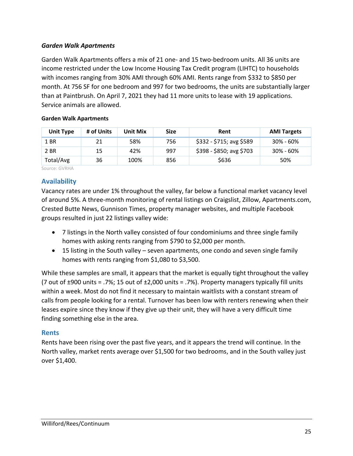### *Garden Walk Apartments*

Garden Walk Apartments offers a mix of 21 one- and 15 two-bedroom units. All 36 units are income restricted under the Low Income Housing Tax Credit program (LIHTC) to households with incomes ranging from 30% AMI through 60% AMI. Rents range from \$332 to \$850 per month. At 756 SF for one bedroom and 997 for two bedrooms, the units are substantially larger than at Paintbrush. On April 7, 2021 they had 11 more units to lease with 19 applications. Service animals are allowed.

#### **Garden Walk Apartments**

| <b>Unit Type</b> | # of Units | Unit Mix | <b>Size</b> | Rent                     | <b>AMI Targets</b> |
|------------------|------------|----------|-------------|--------------------------|--------------------|
| 1 BR             | 21         | 58%      | 756         | \$332 - \$715; avg \$589 | $30\% - 60\%$      |
| 2 BR             | 15         | 42%      | 997         | $$398 - $850; avg $703$  | $30\% - 60\%$      |
| Total/Avg        | 36         | 100%     | 856         | \$636                    | 50%                |

Source: GVRHA

# <span id="page-26-0"></span>**Availability**

Vacancy rates are under 1% throughout the valley, far below a functional market vacancy level of around 5%. A three-month monitoring of rental listings on Craigslist, Zillow, Apartments.com, Crested Butte News, Gunnison Times, property manager websites, and multiple Facebook groups resulted in just 22 listings valley wide:

- 7 listings in the North valley consisted of four condominiums and three single family homes with asking rents ranging from \$790 to \$2,000 per month.
- 15 listing in the South valley seven apartments, one condo and seven single family homes with rents ranging from \$1,080 to \$3,500.

While these samples are small, it appears that the market is equally tight throughout the valley (7 out of  $\pm 900$  units = .7%; 15 out of  $\pm 2,000$  units = .7%). Property managers typically fill units within a week. Most do not find it necessary to maintain waitlists with a constant stream of calls from people looking for a rental. Turnover has been low with renters renewing when their leases expire since they know if they give up their unit, they will have a very difficult time finding something else in the area.

#### <span id="page-26-1"></span>**Rents**

Rents have been rising over the past five years, and it appears the trend will continue. In the North valley, market rents average over \$1,500 for two bedrooms, and in the South valley just over \$1,400.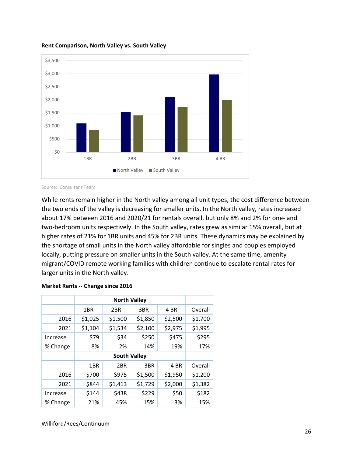

#### **Rent Comparison, North Valley vs. South Valley**

While rents remain higher in the North valley among all unit types, the cost difference between the two ends of the valley is decreasing for smaller units. In the North valley, rates increased about 17% between 2016 and 2020/21 for rentals overall, but only 8% and 2% for one- and two-bedroom units respectively. In the South valley, rates grew as similar 15% overall, but at higher rates of 21% for 1BR units and 45% for 2BR units. These dynamics may be explained by the shortage of small units in the North valley affordable for singles and couples employed locally, putting pressure on smaller units in the South valley. At the same time, amenity migrant/COVID remote working families with children continue to escalate rental rates for larger units in the North valley.

| <b>Market Rents -- Change since 2016</b> |  |  |  |  |
|------------------------------------------|--|--|--|--|
|------------------------------------------|--|--|--|--|

|                     |                           | <b>North Valley</b> |         |         |         |  |  |  |  |
|---------------------|---------------------------|---------------------|---------|---------|---------|--|--|--|--|
|                     | 3BR<br>4 BR<br>1BR<br>2BR |                     |         |         | Overall |  |  |  |  |
| 2016                | \$1,025                   | \$1,500             | \$1,850 | \$2,500 | \$1,700 |  |  |  |  |
| 2021                | \$1,104                   | \$1,534             | \$2,100 | \$2,975 | \$1,995 |  |  |  |  |
| Increase            | \$79                      | \$34                | \$250   | \$475   | \$295   |  |  |  |  |
| % Change            | 8%                        | 2%                  | 14%     | 19%     | 17%     |  |  |  |  |
| <b>South Valley</b> |                           |                     |         |         |         |  |  |  |  |
|                     | 1BR                       | 2BR                 | 3BR     | 4 BR    | Overall |  |  |  |  |
| 2016                | \$700                     | \$975               | \$1,500 | \$1,950 | \$1,200 |  |  |  |  |
| 2021                | \$844                     | \$1,413             | \$1,729 | \$2,000 | \$1,382 |  |  |  |  |
| Increase            | \$144                     | \$438               | \$229   | \$50    | \$182   |  |  |  |  |
| % Change            | 21%                       | 45%                 | 15%     | 3%      | 15%     |  |  |  |  |

Source: Consultant Team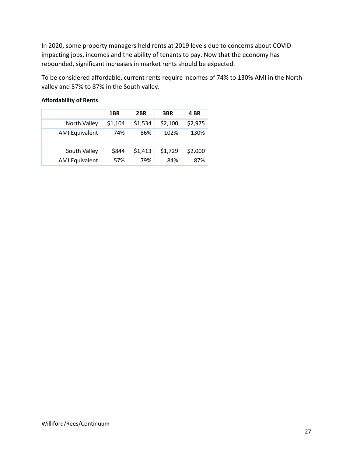In 2020, some property managers held rents at 2019 levels due to concerns about COVID impacting jobs, incomes and the ability of tenants to pay. Now that the economy has rebounded, significant increases in market rents should be expected.

To be considered affordable, current rents require incomes of 74% to 130% AMI in the North valley and 57% to 87% in the South valley.

|                       | 1BR     | 2BR     | 3BR     | 4 BR    |
|-----------------------|---------|---------|---------|---------|
| North Valley          | \$1,104 | \$1,534 | \$2,100 | \$2,975 |
| <b>AMI Equivalent</b> | 74%     | 86%     | 102%    | 130%    |
|                       |         |         |         |         |
| South Valley          | \$844   | \$1,413 | \$1,729 | \$2,000 |
| <b>AMI Equivalent</b> | 57%     | 79%     | 84%     | 87%     |

#### **Affordability of Rents**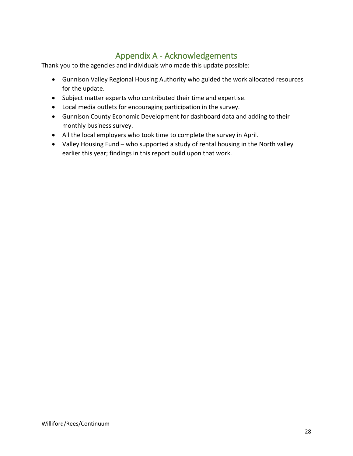# Appendix A - Acknowledgements

<span id="page-29-0"></span>Thank you to the agencies and individuals who made this update possible:

- Gunnison Valley Regional Housing Authority who guided the work allocated resources for the update.
- Subject matter experts who contributed their time and expertise.
- Local media outlets for encouraging participation in the survey.
- Gunnison County Economic Development for dashboard data and adding to their monthly business survey.
- All the local employers who took time to complete the survey in April.
- Valley Housing Fund who supported a study of rental housing in the North valley earlier this year; findings in this report build upon that work.